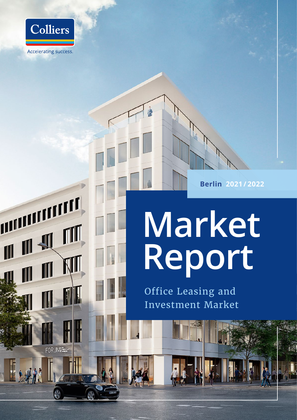

Accelerating success.

M

FORUM

TT

**Berlin 2021 / 2022**

# **Market Report**

Office Leasing and Investment Market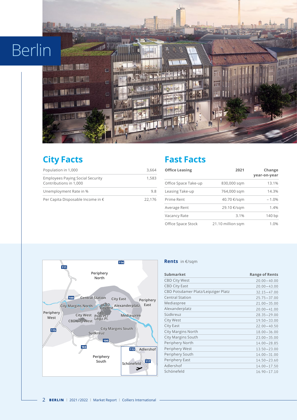## Berlin



## **City Facts**

| Population in 1,000                                               | 3.664  |
|-------------------------------------------------------------------|--------|
| <b>Employees Paying Social Security</b><br>Contributions in 1,000 | 1.583  |
| Unemployment Rate in %                                            | 9.8    |
| Per Capita Disposable Income in €                                 | 22.176 |

## **Fast Facts**

| <b>Office Leasing</b> | 2021              | Change<br>year-on-year |
|-----------------------|-------------------|------------------------|
| Office Space Take-up  | 830,000 sqm       | 13.1%                  |
| Leasing Take-up       | 764,000 sgm       | 14.3%                  |
| Prime Rent            | 40.70 €/sgm       | $-1.0%$                |
| Average Rent          | 29.10 €/sqm       | 1.4%                   |
| Vacancy Rate          | 3.1%              | 140bp                  |
| Office Space Stock    | 21.10 million sqm | 1.0%                   |



#### **Rents** in €/sqm

| Submarket                           | <b>Range of Rents</b> |
|-------------------------------------|-----------------------|
| <b>CBD City West</b>                | $2000 - 4000$         |
| <b>CBD City East</b>                | $2000 - 4300$         |
| CBD Potsdamer Platz/Leipziger Platz | $32.15 - 47.00$       |
| <b>Central Station</b>              | $2575 - 3700$         |
| Mediaspree                          | $21.00 - 35.00$       |
| Alexanderplatz                      | $20.00 - 41.00$       |
| Südkreuz                            | $28.35 - 29.00$       |
| City West                           | $19.50 - 33.00$       |
| <b>City East</b>                    | $22.00 - 40.50$       |
| <b>City Margins North</b>           | $18.00 - 36.00$       |
| <b>City Margins South</b>           | $23.00 - 35.00$       |
| Periphery North                     | $14.00 - 28.85$       |
| Periphery West                      | $13.50 - 23.00$       |
| Periphery South                     | $14.00 - 31.00$       |
| Periphery East                      | $14.50 - 23.60$       |
| Adlershof                           | $14.00 - 17.50$       |
| Schönefeld                          | $16.90 - 17.10$       |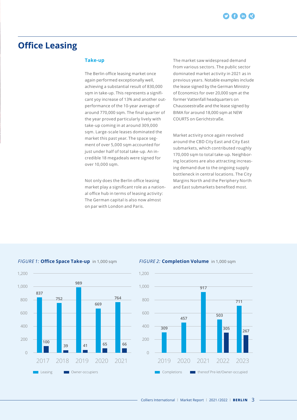## **Office Leasing**

#### **Take-up**

The Berlin office leasing market once again performed exceptionally well, achieving a substantial result of 830,000 sqm in take-up. This represents a significant yoy increase of 13% and another outperformance of the 10-year average of around 770,000 sqm. The final quarter of the year proved particularly lively with take-up coming in at around 309,000 sqm. Large-scale leases dominated the market this past year. The space segment of over 5,000 sqm accounted for just under half of total take-up. An incredible 18 megadeals were signed for over 10,000 sqm.

Not only does the Berlin office leasing market play a significant role as a national office hub in terms of leasing activity: The German capital is also now almost on par with London and Paris.

The market saw widespread demand from various sectors. The public sector dominated market activity in 2021 as in previous years. Notable examples include the lease signed by the German Ministry of Economics for over 20,000 sqm at the former Vattenfall headquarters on Chausseestraße and the lease signed by BIMA for around 18,000 sqm at NEW COURTS on Gerichtstraße.

Market activity once again revolved around the CBD City East and City East submarkets, which contributed roughly 170,000 sqm to total take-up. Neighboring locations are also attracting increasing demand due to the ongoing supply bottleneck in central locations. The City Margins North and the Periphery North and East submarkets benefited most.



#### *FIGURE* **1: Office Space Take-up in 1,000 sqm <b>***FIGURE* 2: **Completion Volume** in 1,000 sqm

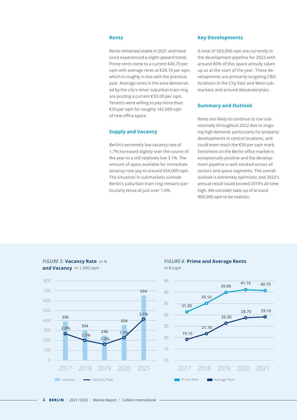#### **Rents**

Rents remained stable in 2021 and have since experienced a slight upward trend. Prime rents come to a current €40.70 per sqm with average rents at €29.10 per sqm, which is roughly in line with the previous year. Average rents in the area demarcated by the city's inner suburban train ring are posting a current €33.00 per sqm. Tenants were willing to pay more than €35 per sqm for roughly 142,000 sqm of new office space.

#### **Supply and Vacancy**

Berlin's extremely low vacancy rate of 1.7% increased slightly over the course of the year to a still relatively low 3.1%. The amount of space available for immediate tenancy rose yoy to around 654,000 sqm. The situation in submarkets outside Berlin's suburban train ring remains particularly tense at just over 1.0%.

#### **Key Developments**

A total of 503,000 sqm are currently in the development pipeline for 2022 with around 80% of this space already taken up as at the start of the year. These developments are primarily targeting CBD locations in the City East and West submarkets and around Alexanderplatz.

#### **Summary and Outlook**

Rents are likely to continue to rise substantially throughout 2022 due to ongoing high demand, particularly for property developments in central locations, and could even reach the €50 per sqm mark. Sentiment on the Berlin office market is exceptionally positive and the development pipeline is well-stocked across all sectors and space segments. The overall outlook is extremely optimistic and 2022's annual result could exceed 2019's all-time high. We consider take-up of around 900,000 sqm to be realistic.



*FIGURE 3:* **Vacancy Rate** in % **and Vacancy** in 1,000 sqm

#### *FIGURE 4:* **Prime and Average Rents**

**39.90**

**41.10**

**40.70**

**29.10**

 $\overline{\mathbf{c}}$ 

**28.70**

**26.30**

in €/sqm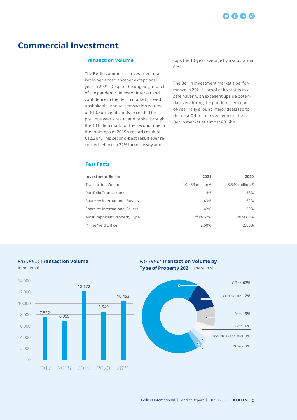### **Commercial Investment**

#### **Transaction Volume**

The Berlin commercial investment market experienced another exceptional year in 2021. Despite the ongoing impact of the pandemic, investor interest and confidence in the Berlin market proved unshakable. Annual transaction volume of €10.5bn significantly exceeded the previous year's result and broke through the 10 billion mark for the second time in the footsteps of 2019's record result of €12.2bn. This second-best result ever recorded reflects a 22% increase yoy and

tops the 10-year average by a substantial 69%.

The Berlin investment market's performance in 2021 is proof of its status as a safe haven with excellent upside potential even during the pandemic. An endof-year rally around major deals led to the best Q4 result ever seen on the Berlin market at almost €3.6bn.

#### **Fast Facts**

| <b>Investment Berlin</b>       | 2021             | 2020                     |
|--------------------------------|------------------|--------------------------|
| <b>Transaction Volume</b>      | 10,453 million € | 8,549 million $\epsilon$ |
| Portfolio Transactions         | 14%              | 38%                      |
| Share by International Buyers  | 43%              | 52%                      |
| Share by International Sellers | 42%              | 29%                      |
| Most Important Property Type   | Office 67%       | Office 64%               |
| Prime Yield Office             | 2.60%            | 2.80%                    |

#### *FIGURE 5:* **Transaction Volume**  in million €



#### *FIGURE 6:* **Transaction Volume by Type of Property 2021** share in %

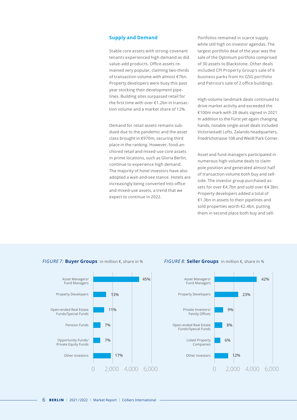#### **Supply and Demand**

Stable core assets with strong-covenant tenants experienced high demand as did value-add products. Office assets remained very popular, claiming two-thirds of transaction volume with almost €7bn. Property developers were busy this past year stocking their development pipelines. Building sites surpassed retail for the first time with over €1.2bn in transaction volume and a market share of 12%.

Demand for retail assets remains subdued due to the pandemic and the asset class brought in €970m, securing third place in the ranking. However, food-anchored retail and mixed-use core assets in prime locations, such as Gloria Berlin, continue to experience high demand. The majority of hotel investors have also adopted a wait-and-see stance. Hotels are increasingly being converted into office and mixed-use assets, a trend that we expect to continue in 2022.

Portfolios remained in scarce supply while still high on investor agendas. The largest portfolio deal of the year was the sale of the Optimum portfolio comprised of 30 assets to Blackstone. Other deals included CPI Property Group's sale of 6 business parks from its GSG portfolio and Patrizia's sale of 2 office buildings.

High-volume landmark deals continued to drive market activity and exceeded the €100m mark with 28 deals signed in 2021. In addition to the Fürst yet again changing hands, notable single-asset deals included Victoriastadt Lofts, Zalando headquarters, Friedrichstrasse 108 and Weidt Park Corner.

Asset and fund managers participated in numerous high-volume deals to claim pole position and generated almost half of transaction volume both buy and sellside. The investor group purchased assets for over €4.7bn and sold over €4.3bn. Property developers added a total of €1.3bn in assets to their pipelines and sold properties worth €2.4bn, putting them in second place both buy and sell-



#### *FIGURE 7:* **Buyer Groups** in million €, share in % *FIGURE 8:* **Seller Groups** in million €, share in %

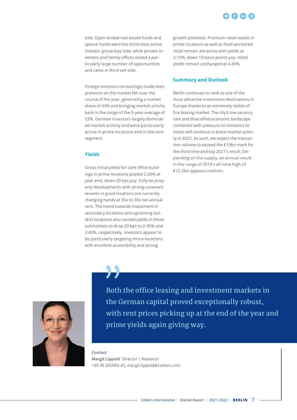

side. Open-ended real estate funds and special funds were the third most active investor group buy-side, while private investors and family offices seized a particularly large number of opportunities and came in third sell-side.

Foreign investors increasingly made their presence on the market felt over the course of the year, generating a market share of 43% and bringing market activity back in the range of the 5-year average of 52%. German investors largely dominated market activity and were particularly active in prime locations and in the core segment.

#### **Yields**

Gross initial yields for core office buildings in prime locations posted 2.60% at year-end, down 20 bps yoy. Fully let property developments with strong-covenant tenants in good locations are currently changing hands at 35x to 39x net annual rent. The trend towards investment in secondary locations and upcoming outskirt locations also caused yields in these submarkets to drop 20 bps to 2.90% and 3.40%, respectively. Investors appear to be particularly targeting micro-locations with excellent accessibility and strong



#### **Summary and Outlook**

Berlin continues to rank as one of the most attractive investment destinations in Europe thanks to an extremely stable office leasing market. The city's low vacancy rate and diversified economic landscape combined with pressure on investors to invest will continue to boost market activity in 2022. As such, we expect the transaction volume to exceed the €10bn mark for the third time and top 2021's result. Depending on the supply, an annual result in the range of 2019's all-time high of €12.2bn appears realistic.



Both the office leasing and investment markets in the German capital proved exceptionally robust, with rent prices picking up at the end of the year and prime yields again giving way.

#### **Contact**

**Margit Lippold** Director | Research +49 30 202993-43, margit.lippold@colliers.com